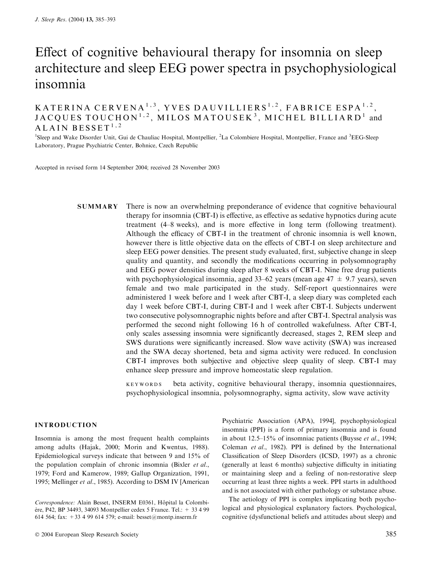# Effect of cognitive behavioural therapy for insomnia on sleep architecture and sleep EEG power spectra in psychophysiological insomnia

## KATERINA CERVENA<sup>1,3</sup>, YVES DAUVILLIERS<sup>1,2</sup>, FABRICE ESPA<sup>1,2</sup>, JACQUES TOUCHON<sup>1,2</sup>, MILOS MATOUSEK<sup>3</sup>, MICHEL BILLIARD<sup>1</sup> and  $ALAIN BESSET<sup>1,2</sup>$

<sup>1</sup>Sleep and Wake Disorder Unit, Gui de Chauliac Hospital, Montpellier, <sup>2</sup>La Colombiere Hospital, Montpellier, France and <sup>3</sup>EEG-Sleep Laboratory, Prague Psychiatric Center, Bohnice, Czech Republic

Accepted in revised form 14 September 2004; received 28 November 2003

SUMMARY There is now an overwhelming preponderance of evidence that cognitive behavioural therapy for insomnia (CBT-I) is effective, as effective as sedative hypnotics during acute treatment (4–8 weeks), and is more effective in long term (following treatment). Although the efficacy of CBT-I in the treatment of chronic insomnia is well known, however there is little objective data on the effects of CBT-I on sleep architecture and sleep EEG power densities. The present study evaluated, first, subjective change in sleep quality and quantity, and secondly the modifications occurring in polysomnography and EEG power densities during sleep after 8 weeks of CBT-I. Nine free drug patients with psychophysiological insomnia, aged 33–62 years (mean age 47  $\pm$  9.7 years), seven female and two male participated in the study. Self-report questionnaires were administered 1 week before and 1 week after CBT-I, a sleep diary was completed each day 1 week before CBT-I, during CBT-I and 1 week after CBT-I. Subjects underwent two consecutive polysomnographic nights before and after CBT-I. Spectral analysis was performed the second night following 16 h of controlled wakefulness. After CBT-I, only scales assessing insomnia were significantly decreased, stages 2, REM sleep and SWS durations were significantly increased. Slow wave activity (SWA) was increased and the SWA decay shortened, beta and sigma activity were reduced. In conclusion CBT-I improves both subjective and objective sleep quality of sleep. CBT-I may enhance sleep pressure and improve homeostatic sleep regulation.

> keywords beta activity, cognitive behavioural therapy, insomnia questionnaires, psychophysiological insomnia, polysomnography, sigma activity, slow wave activity

## INTRODUCTION

Insomnia is among the most frequent health complaints among adults (Hajak, 2000; Morin and Kwentus, 1988). Epidemiological surveys indicate that between 9 and 15% of the population complain of chronic insomnia (Bixler et al., 1979; Ford and Kamerow, 1989; Gallup Organization, 1991, 1995; Mellinger et al., 1985). According to DSM IV [American

Correspondence: Alain Besset, INSERM E0361, Hôpital la Colombière, P42, BP 34493, 34093 Montpellier cedex 5 France. Tel.:  $+ 33499$ 614 564; fax: +33 4 99 614 579; e-mail: besset@montp.inserm.fr

Psychiatric Association (APA), 1994], psychophysiological insomnia (PPI) is a form of primary insomnia and is found in about 12.5–15% of insomniac patients (Buysse et al., 1994; Coleman et al., 1982). PPI is defined by the International Classification of Sleep Disorders (ICSD, 1997) as a chronic (generally at least 6 months) subjective difficulty in initiating or maintaining sleep and a feeling of non-restorative sleep occurring at least three nights a week. PPI starts in adulthood and is not associated with either pathology or substance abuse.

The aetiology of PPI is complex implicating both psychological and physiological explanatory factors. Psychological, cognitive (dysfunctional beliefs and attitudes about sleep) and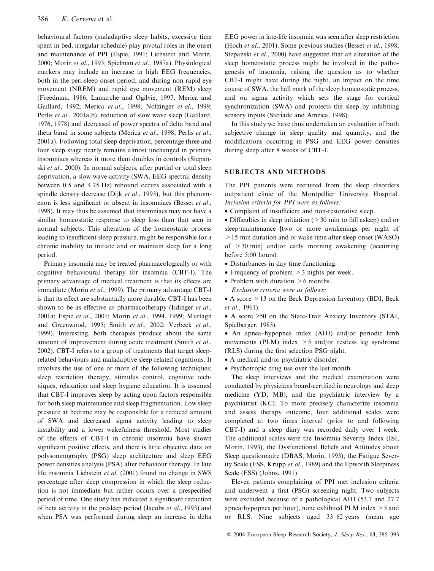behavioural factors (maladaptive sleep habits, excessive time spent in bed, irregular schedule) play pivotal roles in the onset and maintenance of PPI (Espie, 1991; Lichstein and Morin, 2000; Morin et al., 1993; Spielman et al., 1987a). Physiological markers may include an increase in high EEG frequencies, both in the peri-sleep onset period, and during non rapid eye movement (NREM) and rapid eye movement (REM) sleep (Freedman, 1986; Lamarche and Ogilvie, 1997; Merica and Gaillard, 1992; Merica et al., 1998; Nofzinger et al., 1999; Perlis et al., 2001a,b), reduction of slow wave sleep (Gaillard, 1976, 1978) and decreased of power spectra of delta band and theta band in some subjects (Merica et al., 1998; Perlis et al., 2001a). Following total sleep deprivation, percentage three and four sleep stage nearly remains almost unchanged in primary insomniacs whereas it more than doubles in controls (Stepanski et al., 2000). In normal subjects, after partial or total sleep deprivation, a slow wave activity (SWA, EEG spectral density between 0.5 and 4.75 Hz) rebound occurs associated with a spindle density decrease (Dijk *et al.*, 1993), but this phenomenon is less significant or absent in insomniacs (Besset et al., 1998). It may thus be assumed that insomniacs may not have a similar homeostatic response to sleep loss than that seen in normal subjects. This alteration of the homeostatic process leading to insufficient sleep pressure, might be responsible for a chronic inability to initiate and or maintain sleep for a long period.

Primary insomnia may be treated pharmacologically or with cognitive behavioural therapy for insomnia (CBT-I). The primary advantage of medical treatment is that its effects are immediate (Morin et al., 1999). The primary advantage CBT-I is that its effect are substantially more durable. CBT-I has been shown to be as effective as pharmacotherapy (Edinger et al., 2001a; Espie et al., 2001; Morin et al., 1994, 1999; Murtagh and Greenwood, 1995; Smith et al., 2002; Verbeek et al., 1999). Interesting, both therapies produce about the same amount of improvement during acute treatment (Smith et al., 2002). CBT-I refers to a group of treatments that target sleeprelated behaviours and maladaptive sleep related cognitions. It involves the use of one or more of the following techniques: sleep restriction therapy, stimulus control, cognitive techniques, relaxation and sleep hygiene education. It is assumed that CBT-I improves sleep by acting upon factors responsible for both sleep maintenance and sleep fragmentation. Low sleep pressure at bedtime may be responsible for a reduced amount of SWA and decreased sigma activity leading to sleep instability and a lower wakefulness threshold. Most studies of the effects of CBT-I in chronic insomnia have shown significant positive effects, and there is little objective data on polysomnography (PSG) sleep architecture and sleep EEG power densities analysis (PSA) after behaviour therapy. In late life insomnia Lichstein et al. (2001) found no change in SWS percentage after sleep compression in which the sleep reduction is not immediate but rather occurs over a prespecified period of time. One study has indicated a significant reduction of beta activity in the presleep period (Jacobs et al., 1993) and when PSA was performed during sleep an increase in delta

EEG power in late-life insomnia was seen after sleep restriction (Hoch et al., 2001). Some previous studies (Besset et al., 1998; Stepanski et al., 2000) have suggested that an alteration of the sleep homeostatic process might be involved in the pathogenesis of insomnia, raising the question as to whether CBT-I might have during the night, an impact on the time course of SWA, the hall mark of the sleep homeostatic process, and on sigma activity which sets the stage for cortical synchronization (SWA) and protects the sleep by inhibiting sensory inputs (Steriade and Amzica, 1998).

In this study we have thus undertaken an evaluation of both subjective change in sleep quality and quantity, and the modifications occurring in PSG and EEG power densities during sleep after 8 weeks of CBT-I.

## SUBJECTS AND METHODS

The PPI patients were recruited from the sleep disorders outpatient clinic of the Montpellier University Hospital. Inclusion criteria for PPI were as follows:

• Complaint of insufficient and non-restorative sleep.

• Difficulties in sleep initiation ( $>$ 30 min to fall asleep) and or sleep/maintenance [two or more awakenings per night of >15 min duration and or wake time after sleep onset (WASO) of  $>30$  min] and/or early morning awakening (occurring before 5:00 hours).

- Disturbances in day time functioning.
- Frequency of problem >3 nights per week.
- Problem with duration  $>6$  months.
	- Exclusion criteria were as follows:

• A score >13 on the Beck Depression Inventory (BDI, Beck et al., 1961).

• A score  $\geq 50$  on the State-Trait Anxiety Inventory (STAI, Spielberger, 1983).

• An apnea–hypopnea index (AHI) and/or periodic limb movements (PLM) index  $>$  5 and/or restless leg syndrome (RLS) during the first selection PSG night.

• A medical and/or psychiatric disorder.

• Psychotropic drug use over the last month.

The sleep interviews and the medical examination were conducted by physicians board-certified in neurology and sleep medicine (YD, MB), and the psychiatric interview by a psychiatrist (KC). To more precisely characterize insomnia and assess therapy outcome, four additional scales were completed at two times interval (prior to and following CBT-I) and a sleep diary was recorded daily over 1 week. The additional scales were the Insomnia Severity Index (ISI, Morin, 1993), the Dysfunctional Beliefs and Attitudes about Sleep questionnaire (DBAS, Morin, 1993), the Fatigue Severity Scale (FSS, Krupp et al., 1989) and the Epworth Sleepiness Scale (ESS) (Johns, 1991).

Eleven patients complaining of PPI met inclusion criteria and underwent a first (PSG) screening night. Two subjects were excluded because of a pathological AHI (53.7 and 27.7 apnea/hypopnea per hour), none exhibited PLM index >5 and or RLS. Nine subjects aged 33–62 years (mean age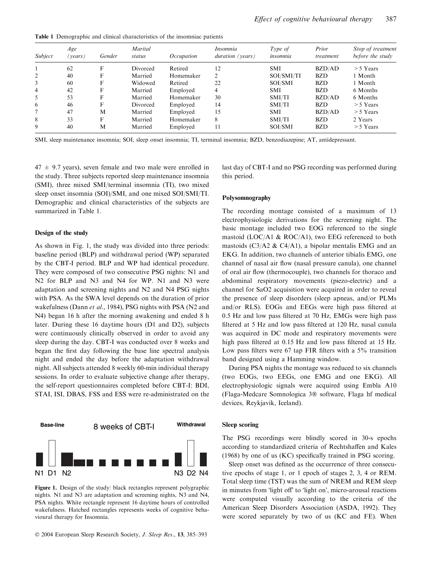Table 1 Demographic and clinical characteristics of the insomniac patients

| Subject        | Age<br>(vears) | Gender | Marital<br>status | <i>Occupation</i> | <i>Insomnia</i><br><i>duration</i> (years) | Type of<br>insomnia | Prior<br>treatment | Stop of treatment<br>before the study |
|----------------|----------------|--------|-------------------|-------------------|--------------------------------------------|---------------------|--------------------|---------------------------------------|
|                | 62             | F      | Divorced          | Retired           | 12                                         | <b>SMI</b>          | BZD/AD             | $> 5$ Years                           |
| 2              | 40             | F      | Married           | Homemaker         | $\overline{c}$                             | SOI/SMI/TI          | <b>BZD</b>         | 1 Month                               |
| 3              | 60             | F      | Widowed           | Retired           | 22                                         | SOI/SMI             | <b>BZD</b>         | 1 Month                               |
| $\overline{4}$ | 42             | F      | Married           | Employed          | 4                                          | <b>SMI</b>          | <b>BZD</b>         | 6 Months                              |
| 5              | 53             | F      | Married           | Homemaker         | 30                                         | SMI/TI              | BZD/AD             | 6 Months                              |
| 6              | 46             | F      | Divorced          | Employed          | 14                                         | SMI/TI              | <b>BZD</b>         | $> 5$ Years                           |
|                | 47             | М      | Married           | Employed          | 15                                         | <b>SMI</b>          | BZD/AD             | $> 5$ Years                           |
| 8              | 33             | F      | Married           | Homemaker         | 8                                          | SMI/TI              | <b>BZD</b>         | 2 Years                               |
| 9              | 40             | М      | Married           | Employed          | 11                                         | SOI/SMI             | <b>BZD</b>         | $> 5$ Years                           |

SMI, sleep maintenance insomnia; SOI, sleep onset insomnia; TI, terminal insomnia; BZD, benzodiazepine; AT, antidepressant.

 $47 \pm 9.7$  years), seven female and two male were enrolled in the study. Three subjects reported sleep maintenance insomnia (SMI), three mixed SMI/terminal insomnia (TI), two mixed sleep onset insomnia (SOI)/SMI, and one mixed SOI/SMI/TI. Demographic and clinical characteristics of the subjects are summarized in Table 1.

## Design of the study

As shown in Fig. 1, the study was divided into three periods: baseline period (BLP) and withdrawal period (WP) separated by the CBT-I period. BLP and WP had identical procedure. They were composed of two consecutive PSG nights: N1 and N2 for BLP and N3 and N4 for WP. N1 and N3 were adaptation and screening nights and N2 and N4 PSG nights with PSA. As the SWA level depends on the duration of prior wakefulness (Dann et al., 1984), PSG nights with PSA (N2 and N4) began 16 h after the morning awakening and ended 8 h later. During these 16 daytime hours (D1 and D2), subjects were continuously clinically observed in order to avoid any sleep during the day. CBT-I was conducted over 8 weeks and began the first day following the base line spectral analysis night and ended the day before the adaptation withdrawal night. All subjects attended 8 weekly 60-min individual therapy sessions. In order to evaluate subjective change after therapy, the self-report questionnaires completed before CBT-I: BDI, STAI, ISI, DBAS, FSS and ESS were re-administrated on the



Figure 1. Design of the study: black rectangles represent polygraphic nights. N1 and N3 are adaptation and screening nights, N3 and N4, PSA nights. White rectangle represent 16 daytime hours of controlled wakefulness. Hatched rectangles represents weeks of cognitive behavioural therapy for Insomnia.

2004 European Sleep Research Society, J. Sleep Res., 13, 385–393

last day of CBT-I and no PSG recording was performed during this period.

#### Polysomnography

The recording montage consisted of a maximum of 13 electrophysiologic derivations for the screening night. The basic montage included two EOG referenced to the single mastoid (LOC/A1 & ROC/A1), two EEG referenced to both mastoids  $(C3/A2 \& C4/A1)$ , a bipolar mentalis EMG and an EKG. In addition, two channels of anterior tibialis EMG, one channel of nasal air flow (nasal pressure canula), one channel of oral air flow (thermocouple), two channels for thoraco and abdominal respiratory movements (piezo-electric) and a channel for SaO2 acquisition were acquired in order to reveal the presence of sleep disorders (sleep apneas, and/or PLMs and/or RLS). EOGs and EEGs were high pass filtered at 0.5 Hz and low pass filtered at 70 Hz, EMGs were high pass filtered at 5 Hz and low pass filtered at 120 Hz, nasal canula was acquired in DC mode and respiratory movements were high pass filtered at 0.15 Hz and low pass filtered at 15 Hz. Low pass filters were 67 tap FIR filters with a 5% transition band designed using a Hamming window.

During PSA nights the montage was reduced to six channels (two EOGs, two EEGs, one EMG and one EKG). All electrophysiologic signals were acquired using Embla A10 (Flaga-Medcare Somnologica 3® software, Flaga hf medical devices, Reykjavik, Iceland).

## Sleep scoring

The PSG recordings were blindly scored in 30-s epochs according to standardized criteria of Rechtshaffen and Kales (1968) by one of us (KC) specifically trained in PSG scoring.

Sleep onset was defined as the occurrence of three consecutive epochs of stage 1, or 1 epoch of stages 2, 3, 4 or REM. Total sleep time (TST) was the sum of NREM and REM sleep in minutes from 'light off' to 'light on', micro-arousal reactions were computed visually according to the criteria of the American Sleep Disorders Association (ASDA, 1992). They were scored separately by two of us (KC and FE). When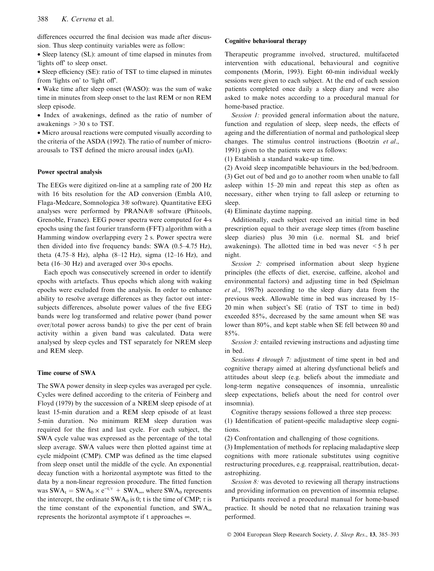differences occurred the final decision was made after discussion. Thus sleep continuity variables were as follow:

• Sleep latency (SL): amount of time elapsed in minutes from 'lights off' to sleep onset.

• Sleep efficiency (SE): ratio of TST to time elapsed in minutes from 'lights on' to 'light off'.

• Wake time after sleep onset (WASO): was the sum of wake time in minutes from sleep onset to the last REM or non REM sleep episode.

• Index of awakenings, defined as the ratio of number of awakenings  $>30$  s to TST.

• Micro arousal reactions were computed visually according to the criteria of the ASDA (1992). The ratio of number of microarousals to TST defined the micro arousal index  $(\mu A I)$ .

#### Power spectral analysis

The EEGs were digitized on-line at a sampling rate of 200 Hz with 16 bits resolution for the AD conversion (Embla A10, Flaga-Medcare, Somnologica 3® software). Quantitative EEG analyses were performed by PRANA® software (Phitools, Grenoble, France). EEG power spectra were computed for 4-s epochs using the fast fourier transform (FFT) algorithm with a Hamming window overlapping every 2 s. Power spectra were then divided into five frequency bands: SWA (0.5–4.75 Hz), theta  $(4.75-8 \text{ Hz})$ , alpha  $(8-12 \text{ Hz})$ , sigma  $(12-16 \text{ Hz})$ , and beta (16–30 Hz) and averaged over 30-s epochs.

Each epoch was consecutively screened in order to identify epochs with artefacts. Thus epochs which along with waking epochs were excluded from the analysis. In order to enhance ability to resolve average differences as they factor out intersubjects differences, absolute power values of the five EEG bands were log transformed and relative power (band power over/total power across bands) to give the per cent of brain activity within a given band was calculated. Data were analysed by sleep cycles and TST separately for NREM sleep and REM sleep.

#### Time course of SWA

The SWA power density in sleep cycles was averaged per cycle. Cycles were defined according to the criteria of Feinberg and Floyd (1979) by the succession of a NREM sleep episode of at least 15-min duration and a REM sleep episode of at least 5-min duration. No minimum REM sleep duration was required for the first and last cycle. For each subject, the SWA cycle value was expressed as the percentage of the total sleep average. SWA values were then plotted against time at cycle midpoint (CMP). CMP was defined as the time elapsed from sleep onset until the middle of the cycle. An exponential decay function with a horizontal asymptote was fitted to the data by a non-linear regression procedure. The fitted function was  $SWA_t = SWA_0 \times e^{-t/\tau} + SWA_{\infty}$ , where  $SWA_0$  represents the intercept, the ordinate SWA<sub>0</sub> is 0; t is the time of CMP;  $\tau$  is the time constant of the exponential function, and  $SWA_{\infty}$ represents the horizontal asymptote if t approaches  $\infty$ .

#### Cognitive behavioural therapy

Therapeutic programme involved, structured, multifaceted intervention with educational, behavioural and cognitive components (Morin, 1993). Eight 60-min individual weekly sessions were given to each subject. At the end of each session patients completed once daily a sleep diary and were also asked to make notes according to a procedural manual for home-based practice.

Session 1: provided general information about the nature, function and regulation of sleep, sleep needs, the effects of ageing and the differentiation of normal and pathological sleep changes. The stimulus control instructions (Bootzin et al., 1991) given to the patients were as follows:

(1) Establish a standard wake-up time.

(2) Avoid sleep incompatible behaviours in the bed/bedroom. (3) Get out of bed and go to another room when unable to fall asleep within 15–20 min and repeat this step as often as necessary, either when trying to fall asleep or returning to sleep.

(4) Eliminate daytime napping.

Additionally, each subject received an initial time in bed prescription equal to their average sleep times (from baseline sleep diaries) plus 30 min (i.e. normal SL and brief awakenings). The allotted time in bed was never  $\leq 5$  h per night.

Session 2: comprised information about sleep hygiene principles (the effects of diet, exercise, caffeine, alcohol and environmental factors) and adjusting time in bed (Spielman et al., 1987b) according to the sleep diary data from the previous week. Allowable time in bed was increased by 15– 20 min when subject's SE (ratio of TST to time in bed) exceeded 85%, decreased by the same amount when SE was lower than 80%, and kept stable when SE fell between 80 and  $85%$ .

Session 3: entailed reviewing instructions and adjusting time in bed.

Sessions 4 through 7: adjustment of time spent in bed and cognitive therapy aimed at altering dysfunctional beliefs and attitudes about sleep (e.g. beliefs about the immediate and long-term negative consequences of insomnia, unrealistic sleep expectations, beliefs about the need for control over insomnia).

Cognitive therapy sessions followed a three step process:

(1) Identification of patient-specific maladaptive sleep cognitions.

(2) Confrontation and challenging of those cognitions.

(3) Implementation of methods for replacing maladaptive sleep cognitions with more rationale substitutes using cognitive restructuring procedures, e.g. reappraisal, reattribution, decatastrophizing.

Session 8: was devoted to reviewing all therapy instructions and providing information on prevention of insomnia relapse.

Participants received a procedural manual for home-based practice. It should be noted that no relaxation training was performed.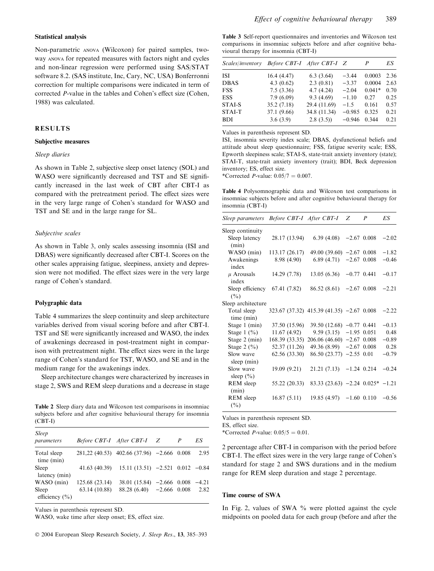#### Statistical analysis

Non-parametric anova (Wilcoxon) for paired samples, twoway anova for repeated measures with factors night and cycles and non-linear regression were performed using SAS/STAT software 8.2. (SAS institute, Inc, Cary, NC, USA) Bonferronni correction for multiple comparisons were indicated in term of corrected P-value in the tables and Cohen's effect size (Cohen, 1988) was calculated.

## RESULTS

#### Subjective measures

#### Sleep diaries

As shown in Table 2, subjective sleep onset latency (SOL) and WASO were significantly decreased and TST and SE significantly increased in the last week of CBT after CBT-I as compared with the pretreatment period. The effect sizes were in the very large range of Cohen's standard for WASO and TST and SE and in the large range for SL.

#### Subjective scales

As shown in Table 3, only scales assessing insomnia (ISI and DBAS) were significantly decreased after CBT-I. Scores on the other scales appraising fatigue, sleepiness, anxiety and depression were not modified. The effect sizes were in the very large range of Cohen's standard.

## Polygraphic data

Table 4 summarizes the sleep continuity and sleep architecture variables derived from visual scoring before and after CBT-I. TST and SE were significantly increased and WASO, the index of awakenings decreased in post-treatment night in comparison with pretreatment night. The effect sizes were in the large range of Cohen's standard for TST, WASO, and SE and in the medium range for the awakenings index.

Sleep architecture changes were characterized by increases in stage 2, SWS and REM sleep durations and a decrease in stage

Table 2 Sleep diary data and Wilcoxon test comparisons in insomniac subjects before and after cognitive behavioural therapy for insomnia (CBT-I)

| <b>Sleep</b><br>parameters  |                | Before CBT-I After CBT-I Z                 | P | ES      |
|-----------------------------|----------------|--------------------------------------------|---|---------|
| Total sleep<br>time (min)   |                | 281,22 (40.53) 402.66 (37.96) -2.666 0.008 |   | 2.95    |
| Sleep<br>latency (min)      | 41.63 (40.39)  | $15.11(13.51) -2.5210.012 -0.84$           |   |         |
| WASO (min)                  | 125.68 (23.14) | $38.01(15.84) -2.666 0.008$                |   | $-4.21$ |
| Sleep<br>efficiency $(\% )$ | 63.14 (10.88)  | $88.28(6.40)$ -2.666 0.008                 |   | 2.82    |

Values in parenthesis represent SD.

WASO, wake time after sleep onset; ES, effect size.

Table 3 Self-report questionnaires and inventories and Wilcoxon test comparisons in insomniac subjects before and after cognitive behavioural therapy for insomnia (CBT-I)

| Scales/inventory | Before CBT-I After CBT-I Z |              |          | P        | ES   |
|------------------|----------------------------|--------------|----------|----------|------|
| ISI              | 16.4 (4.47)                | 6.3(3.64)    | $-3.44$  | 0.0003   | 2.36 |
| <b>DBAS</b>      | 4.3(0.62)                  | 2.3(0.81)    | $-3.37$  | 0.0004   | 2.63 |
| <b>FSS</b>       | 7.5(3.36)                  | 4.7(4.24)    | $-2.04$  | $0.041*$ | 0.70 |
| <b>ESS</b>       | 7.9(6.09)                  | 9.3(4.69)    | $-1.10$  | 0.27     | 0.25 |
| STAI-S           | 35.2(7.18)                 | 29.4 (11.69) | $-1.5$   | 0.161    | 0.57 |
| STAI-T           | 37.1 (9.66)                | 34.8 (11.34) | $-0.985$ | 0.325    | 0.21 |
| <b>BDI</b>       | 3.6(3.9)                   | 2.8(3.5)     | $-0.946$ | 0.344    | 0.21 |

Values in parenthesis represent SD.

ISI, insomnia severity index scale; DBAS, dysfunctional beliefs and attitude about sleep questionnaire; FSS, fatigue severity scale; ESS, Epworth sleepiness scale; STAI-S, state-trait anxiety inventory (state); STAI-T, state-trait anxiety inventory (trait); BDI, Beck depression inventory; ES, effect size.

\*Corrected *P*-value:  $0.05/7 = 0.007$ .

Table 4 Polysomnographic data and Wilcoxon test comparisons in insomniac subjects before and after cognitive behavioural therapy for insomnia (CBT-I)

| Sleep parameters                   | Before CBT-I After CBT-I |                                             | Z             | $\boldsymbol{P}$ | ES      |
|------------------------------------|--------------------------|---------------------------------------------|---------------|------------------|---------|
| Sleep continuity                   |                          |                                             |               |                  |         |
| Sleep latency<br>(min)             | 28.17 (13.94)            | 6.39(4.08)                                  | $-2.67$ 0.008 |                  | $-2.02$ |
| WASO (min)                         | 113.17 (26.17)           | $49.00(39.60) -2.670.008$                   |               |                  | $-1.82$ |
| Awakenings<br>index                | 8.98 (4.90)              | 6.89(4.71)                                  | $-2.67$       | 0.008            | $-0.46$ |
| $\mu$ Arousals<br>index            | 14.29 (7.78)             | 13.05(6.36)                                 | $-0.77$ 0.441 |                  | $-0.17$ |
| Sleep efficiency<br>(%)            | 67.41 (7.82)             | $86.52(8.61)$ -2.67 0.008                   |               |                  | $-2.21$ |
| Sleep architecture                 |                          |                                             |               |                  |         |
| Total sleep<br>time (min)          |                          | $323.67$ (37.32) 415.39 (41.35) -2.67 0.008 |               |                  | $-2.22$ |
| Stage 1 (min)                      | 37.50 (15.96)            | 39.50 (12.68)                               | $-0.77$ 0.441 |                  | $-0.13$ |
| Stage $1 \frac{(\%)}{(\%)}$        | 11.67(4.92)              | 9.59(3.15)                                  | $-1.95$ 0.051 |                  | 0.48    |
| Stage 2 (min)                      | 168.39 (33.35)           | $206.06(46.60) -2.670.008$                  |               |                  | $-0.89$ |
| Stage $2 \left(\frac{0}{0}\right)$ | 52.37 (11.26)            | 49.36 (8.99)                                |               | $-2.67$ 0.008    | 0.28    |
| Slow wave<br>sleep (min)           | 62.56(33.30)             | $86.50(23.77) -2.550.01$                    |               |                  | $-0.79$ |
| Slow wave<br>sleep $(\% )$         | 19.09(9.21)              | 21.21 (7.13)                                | $-1.24$ 0.214 |                  | $-0.24$ |
| REM sleep<br>(min)                 | 55.22 (20.33)            | $83.33(23.63) -2.24(0.025*-1.21)$           |               |                  |         |
| REM sleep<br>$(\%)$                | 16.87(5.11)              | 19.85 (4.97)                                |               | $-1.60$ 0.110    | $-0.56$ |

Values in parenthesis represent SD.

ES, effect size. \*Corrected *P*-value:  $0.05/5 = 0.01$ .

2 percentage after CBT-I in comparison with the period before CBT-I. The effect sizes were in the very large range of Cohen's standard for stage 2 and SWS durations and in the medium range for REM sleep duration and stage 2 percentage.

#### Time course of SWA

In Fig. 2, values of SWA  $\%$  were plotted against the cycle midpoints on pooled data for each group (before and after the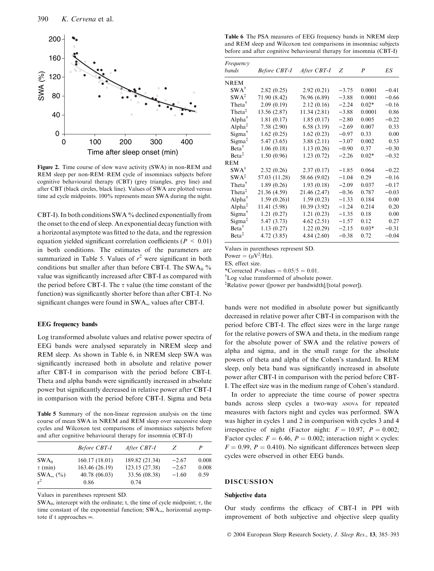

Figure 2. Time course of slow wave activity (SWA) in non-REM and REM sleep per non-REM–REM cycle of insomniacs subjects before cognitive behavioural therapy (CBT) (grey triangles, grey line) and after CBT (black circles, black line). Values of SWA are plotted versus time ad cycle midpoints. 100% represents mean SWA during the night.

CBT-I). In both conditions SWA  $\%$  declined exponentially from the onset to the end of sleep. An exponential decay function with a horizontal asymptote was fitted to the data, and the regression equation yielded significant correlation coefficients ( $P \leq 0.01$ ) in both conditions. The estimates of the parameters are summarized in Table 5. Values of  $r^2$  were significant in both conditions but smaller after than before CBT-I. The SWA $_0$  % value was significantly increased after CBT-I as compared with the period before CBT-I. The  $\tau$  value (the time constant of the function) was significantly shorter before than after CBT-I. No significant changes were found in  $SWA_{\infty}$  values after CBT-I.

## EEG frequency bands

Log transformed absolute values and relative power spectra of EEG bands were analysed separately in NREM sleep and REM sleep. As shown in Table 6, in NREM sleep SWA was significantly increased both in absolute and relative power after CBT-I in comparison with the period before CBT-I. Theta and alpha bands were significantly increased in absolute power but significantly decreased in relative power after CBT-I in comparison with the period before CBT-I. Sigma and beta

Table 5 Summary of the non-linear regression analysis on the time course of mean SWA in NREM and REM sleep over successive sleep cycles and Wilcoxon test comparisons of insomniacs subjects before and after cognitive behavioural therapy for insomnia (CBT-I)

|                                 | <b>Before CBT-I</b>   | After CBT-I           |         | P     |
|---------------------------------|-----------------------|-----------------------|---------|-------|
| $SWA_0$                         | 160.17 (18.01)        | 189.82 (21.34)        | $-2.67$ | 0.008 |
| $\tau$ (min)                    | 163.46 (26.19)        | 123.15 (27.38)        | $-2.67$ | 0.008 |
| $SWA_{\infty}$ $(\% )$<br>$r^2$ | 40.78 (06.03)<br>0.86 | 33.56 (08.38)<br>0.74 | $-1.60$ | 0.59  |

Values in parentheses represent SD.

SWA<sub>0</sub>, intercept with the ordinate; t, the time of cycle midpoint;  $\tau$ , the time constant of the exponential function;  $SWA_{\infty}$ , horizontal asymptote if t approaches  $\infty$ .

Table 6 The PSA measures of EEG frequency bands in NREM sleep and REM sleep and Wilcoxon test comparisons in insomniac subjects before and after cognitive behavioural therapy for insomnia (CBT-I)

| Frequency          |               |              |         |                  |         |
|--------------------|---------------|--------------|---------|------------------|---------|
| bands              | Before CBT-I  | After CBT-I  | Ζ       | $\boldsymbol{P}$ | ES      |
| <b>NREM</b>        |               |              |         |                  |         |
| $SWA^{\dagger}$    | 2.82(0.25)    | 2.92(0.21)   | $-3.75$ | 0.0001           | $-0.41$ |
| $SWA^{\ddagger}$   | 71.90 (8.42)  | 76.96 (6.89) | $-3.88$ | 0.0001           | $-0.66$ |
| $Theta^{\dagger}$  | 2.09(0.19)    | 2.12(0.16)   | $-2.24$ | $0.02*$          | $-0.16$ |
| Theta $\ddagger$   | 13.56 (2.87)  | 11.34 (2.81) | $-3.88$ | 0.0001           | 0.86    |
| Alpha <sup>†</sup> | 1.81(0.17)    | 1.85(0.17)   | $-2.80$ | 0.005            | $-0.22$ |
| Alpha $\ddagger$   | 7.58(2.90)    | 6.58(3.19)   | $-2.69$ | 0.007            | 0.33    |
| $Sigma^{\dagger}$  | 1.62(0.25)    | 1.62(0.23)   | $-0.97$ | 0.33             | 0.00    |
| $Sigma^{\ddagger}$ | 5.47(3.65)    | 3.88(2.11)   | $-3.07$ | 0.002            | 0.53    |
| $Beta^{\dagger}$   | 1.06(0.18)    | 1.13(0.26)   | $-0.90$ | 0.37             | $-0.30$ |
| $Beta^{\ddagger}$  | 1.50 (0.96)   | 1.23(0.72)   | $-2.26$ | $0.02*$          | $-0.32$ |
| <b>REM</b>         |               |              |         |                  |         |
| $SWA^{\dagger}$    | 2.32(0.26)    | 2.37(0.17)   | $-1.85$ | 0.064            | $-0.22$ |
| $SWA^{\ddagger}$   | 57.03 (11.28) | 58.66 (9.02) | $-1.04$ | 0.29             | $-0.16$ |
| $Theta^{\dagger}$  | 1.89 (0.26)   | 1.93(0.18)   | $-2.09$ | 0.037            | $-0.17$ |
| Theta $\ddagger$   | 21.36 (4.59)  | 21.46 (2.47) | $-0.36$ | 0.787            | $-0.03$ |
| Alpha <sup>†</sup> | 1.59 (0.26)1  | 1.59(0.23)   | $-1.33$ | 0.184            | 0.00    |
| Alpha $\ddagger$   | 11.41 (5.98)  | 10.39 (3.92) | $-1.24$ | 0.214            | 0.20    |
| $Sigma^{\dagger}$  | 1.21(0.27)    | 1.21(0.23)   | $-1.35$ | 0.18             | 0.00    |
| $Sigma^{\ddagger}$ | 5.47 (3.73)   | 4.62(2.51)   | $-1.57$ | 0.12             | 0.27    |
| Beta <sup>†</sup>  | 1.13(0.27)    | 1.22(0.29)   | $-2.15$ | $0.03*$          | $-0.31$ |
| $Beta^T$           | 4.72(3.85)    | 4.84(2.60)   | $-0.38$ | 0.72             | $-0.04$ |

Values in parentheses represent SD.

Power =  $(\mu V^2/Hz)$ .

ES, effect size.

\*Corrected *P*-values  $= 0.05/5 = 0.01$ .

Log value transformed of absolute power.

Relative power ([power per bandwidth]/[total power]).

bands were not modified in absolute power but significantly decreased in relative power after CBT-I in comparison with the period before CBT-I. The effect sizes were in the large range for the relative powers of SWA and theta, in the medium range for the absolute power of SWA and the relative powers of alpha and sigma, and in the small range for the absolute powers of theta and alpha of the Cohen's standard. In REM sleep, only beta band was significantly increased in absolute power after CBT-I in comparison with the period before CBT-I. The effect size was in the medium range of Cohen's standard.

In order to appreciate the time course of power spectra bands across sleep cycles a two-way anova for repeated measures with factors night and cycles was performed. SWA was higher in cycles 1 and 2 in comparison with cycles 3 and 4 irrespective of night (Factor night:  $F = 10.97$ ,  $P = 0.002$ ; Factor cycles:  $F = 6.46$ ,  $P = 0.002$ ; interaction night  $\times$  cycles:  $F = 0.99$ ,  $P = 0.410$ ). No significant differences between sleep cycles were observed in other EEG bands.

## DISCUSSION

#### Subjective data

Our study confirms the efficacy of CBT-I in PPI with improvement of both subjective and objective sleep quality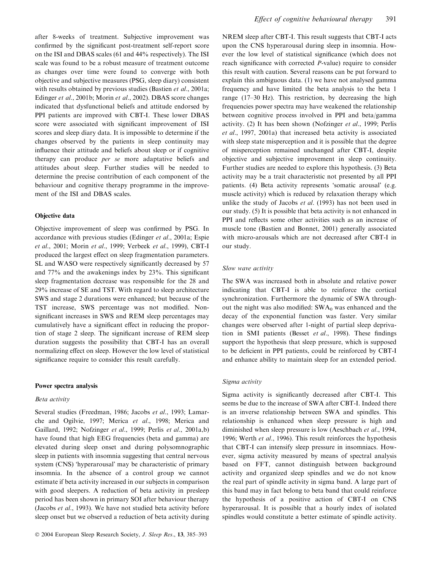after 8-weeks of treatment. Subjective improvement was confirmed by the significant post-treatment self-report score on the ISI and DBAS scales (61 and 44% respectively). The ISI scale was found to be a robust measure of treatment outcome as changes over time were found to converge with both objective and subjective measures (PSG, sleep diary) consistent with results obtained by previous studies (Bastien et al., 2001a; Edinger et al., 2001b; Morin et al., 2002). DBAS score changes indicated that dysfunctional beliefs and attitude endorsed by PPI patients are improved with CBT-I. These lower DBAS score were associated with significant improvement of ISI scores and sleep diary data. It is impossible to determine if the changes observed by the patients in sleep continuity may influence their attitude and beliefs about sleep or if cognitive therapy can produce per se more adaptative beliefs and attitudes about sleep. Further studies will be needed to determine the precise contribution of each component of the behaviour and cognitive therapy programme in the improvement of the ISI and DBAS scales.

#### Objective data

Objective improvement of sleep was confirmed by PSG. In accordance with previous studies (Edinger et al., 2001a; Espie et al., 2001; Morin et al., 1999; Verbeek et al., 1999), CBT-I produced the largest effect on sleep fragmentation parameters. SL and WASO were respectively significantly decreased by 57 and 77% and the awakenings index by 23%. This significant sleep fragmentation decrease was responsible for the 28 and 29% increase of SE and TST. With regard to sleep architecture SWS and stage 2 durations were enhanced; but because of the TST increase, SWS percentage was not modified. Nonsignificant increases in SWS and REM sleep percentages may cumulatively have a significant effect in reducing the proportion of stage 2 sleep. The significant increase of REM sleep duration suggests the possibility that CBT-I has an overall normalizing effect on sleep. However the low level of statistical significance require to consider this result carefully.

#### Power spectra analysis

## Beta activity

Several studies (Freedman, 1986; Jacobs et al., 1993; Lamarche and Ogilvie, 1997; Merica et al., 1998; Merica and Gaillard, 1992; Nofzinger et al., 1999; Perlis et al., 2001a,b) have found that high EEG frequencies (beta and gamma) are elevated during sleep onset and during polysomnographic sleep in patients with insomnia suggesting that central nervous system (CNS) 'hyperarousal' may be characteristic of primary insomnia. In the absence of a control group we cannot estimate if beta activity increased in our subjects in comparison with good sleepers. A reduction of beta activity in presleep period has been shown in primary SOI after behaviour therapy (Jacobs et al., 1993). We have not studied beta activity before sleep onset but we observed a reduction of beta activity during

NREM sleep after CBT-I. This result suggests that CBT-I acts upon the CNS hyperarousal during sleep in insomnia. However the low level of statistical significance (which does not reach significance with corrected P-value) require to consider this result with caution. Several reasons can be put forward to explain this ambiguous data. (1) we have not analysed gamma frequency and have limited the beta analysis to the beta 1 range (17–30 Hz). This restriction, by decreasing the high frequencies power spectra may have weakened the relationship between cognitive process involved in PPI and beta/gamma activity. (2) It has been shown (Nofzinger et al., 1999; Perlis  $et$  al., 1997, 2001a) that increased beta activity is associated with sleep state misperception and it is possible that the degree of misperception remained unchanged after CBT-I, despite objective and subjective improvement in sleep continuity. Further studies are needed to explore this hypothesis. (3) Beta activity may be a trait characteristic not presented by all PPI patients. (4) Beta activity represents 'somatic arousal' (e.g. muscle activity) which is reduced by relaxation therapy which unlike the study of Jacobs et al. (1993) has not been used in our study. (5) It is possible that beta activity is not enhanced in PPI and reflects some other activities such as an increase of muscle tone (Bastien and Bonnet, 2001) generally associated with micro-arousals which are not decreased after CBT-I in our study.

## Slow wave activity

The SWA was increased both in absolute and relative power indicating that CBT-I is able to reinforce the cortical synchronization. Furthermore the dynamic of SWA throughout the night was also modified:  $SWA<sub>0</sub>$  was enhanced and the decay of the exponential function was faster. Very similar changes were observed after 1-night of partial sleep deprivation in SMI patients (Besset et al., 1998). These findings support the hypothesis that sleep pressure, which is supposed to be deficient in PPI patients, could be reinforced by CBT-I and enhance ability to maintain sleep for an extended period.

#### Sigma activity

Sigma activity is significantly decreased after CBT-I. This seems be due to the increase of SWA after CBT-I. Indeed there is an inverse relationship between SWA and spindles. This relationship is enhanced when sleep pressure is high and diminished when sleep pressure is low (Aeschbach et al., 1994, 1996; Werth et al., 1996). This result reinforces the hypothesis that CBT-I can intensify sleep pressure in insomniacs. However, sigma activity measured by means of spectral analysis based on FFT, cannot distinguish between background activity and organized sleep spindles and we do not know the real part of spindle activity in sigma band. A large part of this band may in fact belong to beta band that could reinforce the hypothesis of a positive action of CBT-I on CNS hyperarousal. It is possible that a hourly index of isolated spindles would constitute a better estimate of spindle activity.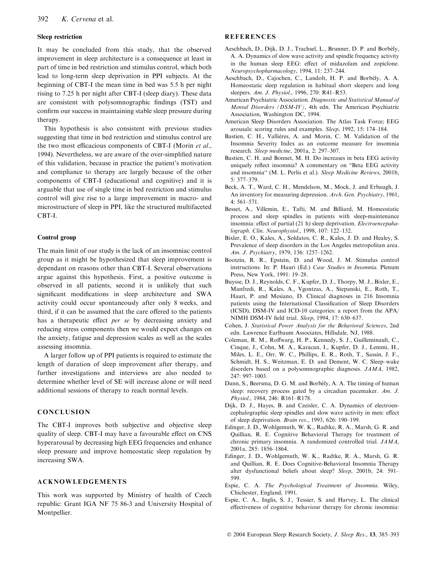#### Sleep restriction

It may be concluded from this study, that the observed improvement in sleep architecture is a consequence at least in part of time in bed restriction and stimulus control, which both lead to long-term sleep deprivation in PPI subjects. At the beginning of CBT-I the mean time in bed was 5.5 h per night rising to 7.25 h per night after CBT-I (sleep diary). These data are consistent with polysomnographic findings (TST) and confirm our success in maintaining stable sleep pressure during therapy.

This hypothesis is also consistent with previous studies suggesting that time in bed restriction and stimulus control are the two most efficacious components of CBT-I (Morin et al., 131994). Nevertheless, we are aware of the over-simplified nature of this validation, because in practice the patient's motivation and compliance to therapy are largely because of the other components of CBT-I (educational and cognitive) and it is arguable that use of single time in bed restriction and stimulus control will give rise to a large improvement in macro- and microstructure of sleep in PPI, like the structured multifaceted CBT-I.

## Control group

The main limit of our study is the lack of an insomniac control group as it might be hypothesized that sleep improvement is dependant on reasons other than CBT-I. Several observations argue against this hypothesis. First, a positive outcome is observed in all patients, second it is unlikely that such significant modifications in sleep architecture and SWA activity could occur spontaneously after only 8 weeks, and third, if it can be assumed that the care offered to the patients has a therapeutic effect *per se* by decreasing anxiety and reducing stress components then we would expect changes on the anxiety, fatigue and depression scales as well as the scales assessing insomnia.

A larger follow up of PPI patients is required to estimate the length of duration of sleep improvement after therapy, and further investigations and interviews are also needed to determine whether level of SE will increase alone or will need additional sessions of therapy to reach normal levels.

## **CONCLUSION**

The CBT-I improves both subjective and objective sleep quality of sleep. CBT-I may have a favourable effect on CNS hyperarousal by decreasing high EEG frequencies and enhance sleep pressure and improve homeostatic sleep regulation by increasing SWA.

## ACKNOWLEDGEMENTS

This work was supported by Ministry of health of Czech republic: Grant IGA NF 75 86-3 and University Hospital of Montpellier.

## **REFERENCES**

- Aeschbach, D., Dijk, D. J., Trachsel, L., Brunner, D. P. and Borbély, A. A. Dynamics of slow wave activity and spindle frequency activity in the human sleep EEG: effect of midazolam and zopiclone. Neuropsychopharmacology, 1994, 11: 237–244.
- Aeschbach, D., Cajochen, C., Landolt, H. P. and Borbély, A. A. Homeostatic sleep regulation in habitual short sleepers and long sleepers. Am. J. Physiol., 1996, 270: R41–R53.
- American Psychiatric Association. Diagnostic and Statistical Manual of Mental Disorders (DSM-IV), 4th edn. The American Psychiatric Association, Washington DC, 1994.
- American Sleep Disorders Association. The Atlas Task Force; EEG arousals: scoring rules and examples. Sleep, 1992, 15: 174–184.
- Bastien, C. H., Vallières, A. and Morin, C. M. Validation of the Insomnia Severity Index as an outcome measure for insomnia research. Sleep medicine, 2001a, 2: 297–307.
- Bastien, C. H. and Bonnet, M. H. Do increases in beta EEG activity uniquely reflect insomnia? A commentary on "Beta EEG activity and insomnia'' (M. L. Perlis et al.). Sleep Medicine Reviews, 2001b, 5: 377–379.
- Beck, A. T., Ward, C. H., Mendelson, M., Mock, J. and Erbaugh, J. An inventory for measuring depression. Arch. Gen. Psychiatry, 1961, 4: 561–571.
- Besset, A., Villemin, E., Tafti, M. and Billiard, M. Homeostatic process and sleep spindles in patients with sleep-maintenance insomnia: effect of partial (21 h) sleep deprivation. Electroencepahalograph. Clin. Neurophysiol., 1998, 107: 122–132.
- Bixler, E. O., Kales, A., Soldatos, C. R., Kales, J. D. and Healey, S. Prevalence of sleep disorders in the Los Angeles metropolitan area. Am. J. Psychiatry, 1979, 136: 1257–1262.
- Bootzin, R. R., Epstein, D. and Wood, J. M. Stimulus control instructions. In: P. Hauri (Ed.) Case Studies in Insomnia. Plenum Press, New York, 1991: 19–28.
- Buysse, D. J., Reynolds, C. F., Kupfer, D. J., Thorpy, M. J., Bixler, E., Manfredi, R., Kales, A., Vgontzas, A., Stepanski, E., Roth, T., Hauri, P. and Mesiano, D. Clinical diagnoses in 216 Insomnia patients using the International Classification of Sleep Disorders (ICSD), DSM-IV and ICD-10 categories: a report from the APA/ NIMH DSM-IV field trial. Sleep, 1994, 17: 630–637.
- Cohen, J. Statistical Power Analysis for the Behavioral Sciences, 2nd edn. Lawrence Earlbaum Associates, Hillsdale, NJ, 1988.
- Coleman, R. M., Roffwarg, H. P., Kennedy, S. J., Guilleminault, C., Cinque, J., Cohn, M. A., Karacan, I., Kupfer, D. J., Lemmi, H., Miles, L. E., Orr, W. C., Phillips, E. R., Roth, T., Sassin, J. F., Schmidt, H. S., Weitzman, E. D. and Dement, W. C. Sleep–wake disorders based on a polysomnographic diagnosis. JAMA, 1982, 247: 997–1003.
- Dann, S., Beersma, D. G. M. and Borbély, A. A. The timing of human sleep: recovery process gated by a circadian pacemaker. Am. J. Physiol., 1984, 246: R161–R178.
- Dijk, D. J., Hayes, B. and Czeisler, C. A. Dynamics of electroencephalographic sleep spindles and slow wave activity in men: effect of sleep deprivation. Brain res., 1993, 626: 190–199.
- Edinger, J. D., Wohlgemuth, W. K., Radtke, R. A., Marsh, G. R. and Quillian, R. E. Cognitive Behavioral Therapy for treatment of chronic primary insomnia. A randomized controlled trial. JAMA, 2001a, 285: 1856–1864.
- Edinger, J. D., Wohlgemuth, W. K., Radtke, R. A., Marsh, G. R. and Quillian, R. E. Does Cognitive-Behavioral Insomnia Therapy alter dysfunctional beliefs about sleep? Sleep, 2001b, 24: 591– 599.
- Espie, C. A. The Psychological Treatment of Insomnia. Wiley, Chichester, England, 1991.
- Espie, C. A., Inglis, S. J., Tessier, S. and Harvey, L. The clinical effectiveness of cognitive behaviour therapy for chronic insomnia: